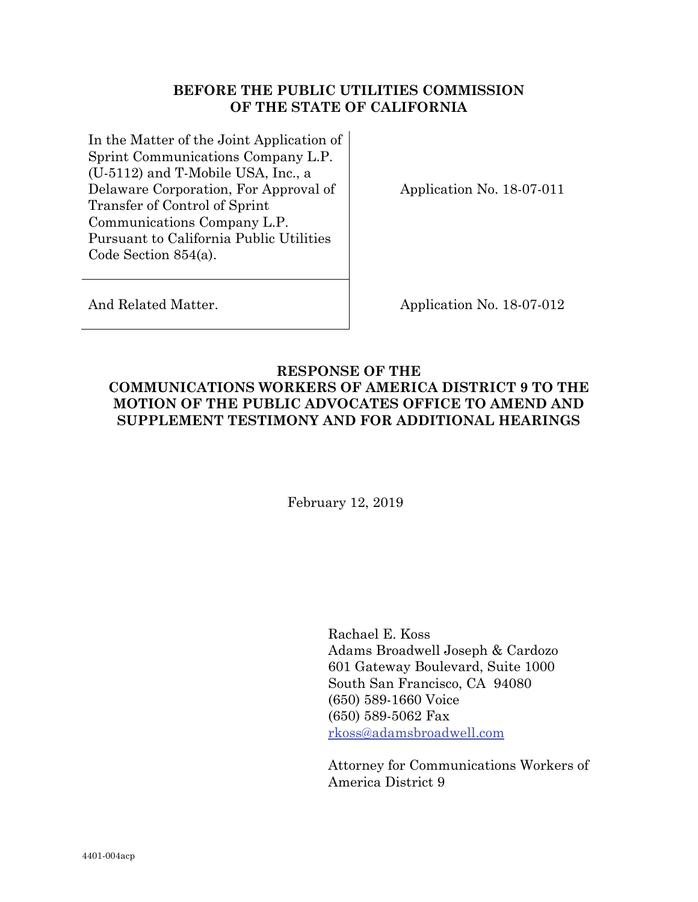## **BEFORE THE PUBLIC UTILITIES COMMISSION OF THE STATE OF CALIFORNIA**

In the Matter of the Joint Application of Sprint Communications Company L.P. (U-5112) and T-Mobile USA, Inc., a Delaware Corporation, For Approval of Transfer of Control of Sprint Communications Company L.P. Pursuant to California Public Utilities Code Section 854(a).

Application No. 18-07-011

And Related Matter. Application No. 18-07-012

## **RESPONSE OF THE COMMUNICATIONS WORKERS OF AMERICA DISTRICT 9 TO THE MOTION OF THE PUBLIC ADVOCATES OFFICE TO AMEND AND SUPPLEMENT TESTIMONY AND FOR ADDITIONAL HEARINGS**

February 12, 2019

Rachael E. Koss Adams Broadwell Joseph & Cardozo 601 Gateway Boulevard, Suite 1000 South San Francisco, CA 94080 (650) 589-1660 Voice (650) 589-5062 Fax rkoss@adamsbroadwell.com

Attorney for Communications Workers of America District 9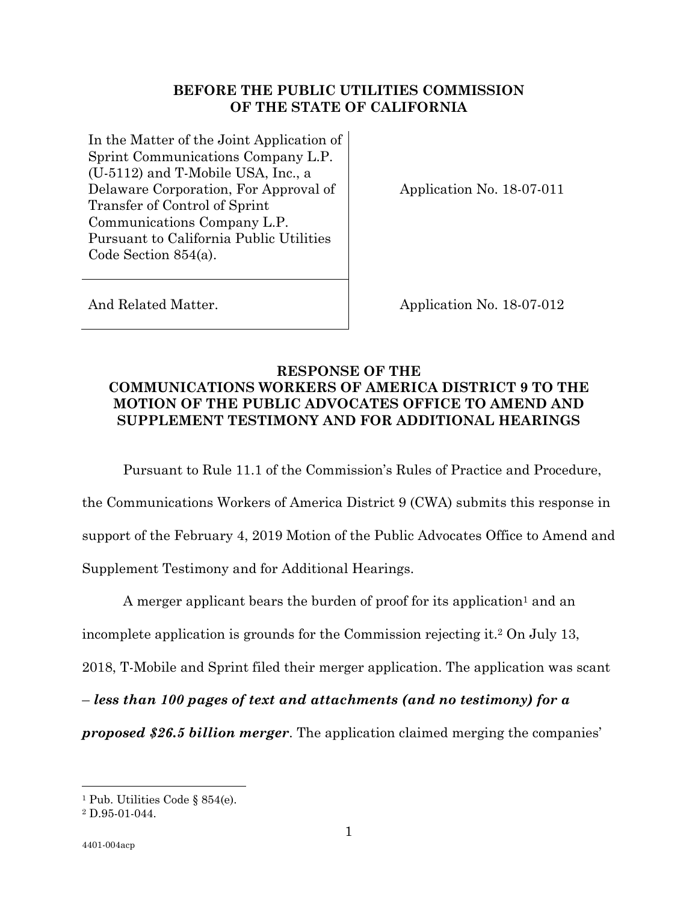## **BEFORE THE PUBLIC UTILITIES COMMISSION OF THE STATE OF CALIFORNIA**

In the Matter of the Joint Application of Sprint Communications Company L.P. (U-5112) and T-Mobile USA, Inc., a Delaware Corporation, For Approval of Transfer of Control of Sprint Communications Company L.P. Pursuant to California Public Utilities Code Section 854(a).

Application No. 18-07-011

And Related Matter. Application No. 18-07-012

## **RESPONSE OF THE COMMUNICATIONS WORKERS OF AMERICA DISTRICT 9 TO THE MOTION OF THE PUBLIC ADVOCATES OFFICE TO AMEND AND SUPPLEMENT TESTIMONY AND FOR ADDITIONAL HEARINGS**

Pursuant to Rule 11.1 of the Commission's Rules of Practice and Procedure,

the Communications Workers of America District 9 (CWA) submits this response in support of the February 4, 2019 Motion of the Public Advocates Office to Amend and Supplement Testimony and for Additional Hearings.

A merger applicant bears the burden of proof for its application<sup>1</sup> and an incomplete application is grounds for the Commission rejecting it.2 On July 13, 2018, T-Mobile and Sprint filed their merger application. The application was scant – *less than 100 pages of text and attachments (and no testimony) for a* 

*proposed \$26.5 billion merger*. The application claimed merging the companies'

 $\overline{a}$ 

<sup>1</sup> Pub. Utilities Code § 854(e).

<sup>2</sup> D.95-01-044.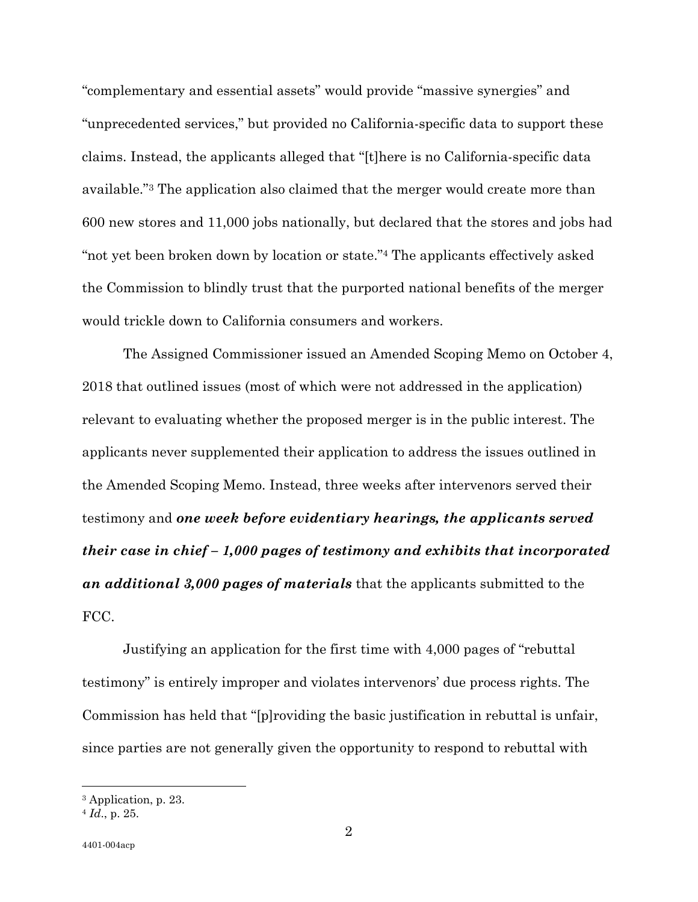"complementary and essential assets" would provide "massive synergies" and "unprecedented services," but provided no California-specific data to support these claims. Instead, the applicants alleged that "[t]here is no California-specific data available."3 The application also claimed that the merger would create more than 600 new stores and 11,000 jobs nationally, but declared that the stores and jobs had "not yet been broken down by location or state."4 The applicants effectively asked the Commission to blindly trust that the purported national benefits of the merger would trickle down to California consumers and workers.

The Assigned Commissioner issued an Amended Scoping Memo on October 4, 2018 that outlined issues (most of which were not addressed in the application) relevant to evaluating whether the proposed merger is in the public interest. The applicants never supplemented their application to address the issues outlined in the Amended Scoping Memo. Instead, three weeks after intervenors served their testimony and *one week before evidentiary hearings, the applicants served their case in chief – 1,000 pages of testimony and exhibits that incorporated an additional 3,000 pages of materials* that the applicants submitted to the FCC.

Justifying an application for the first time with 4,000 pages of "rebuttal testimony" is entirely improper and violates intervenors' due process rights. The Commission has held that "[p]roviding the basic justification in rebuttal is unfair, since parties are not generally given the opportunity to respond to rebuttal with

 $\overline{a}$ 

<sup>3</sup> Application, p. 23.

<sup>4</sup> *Id*., p. 25.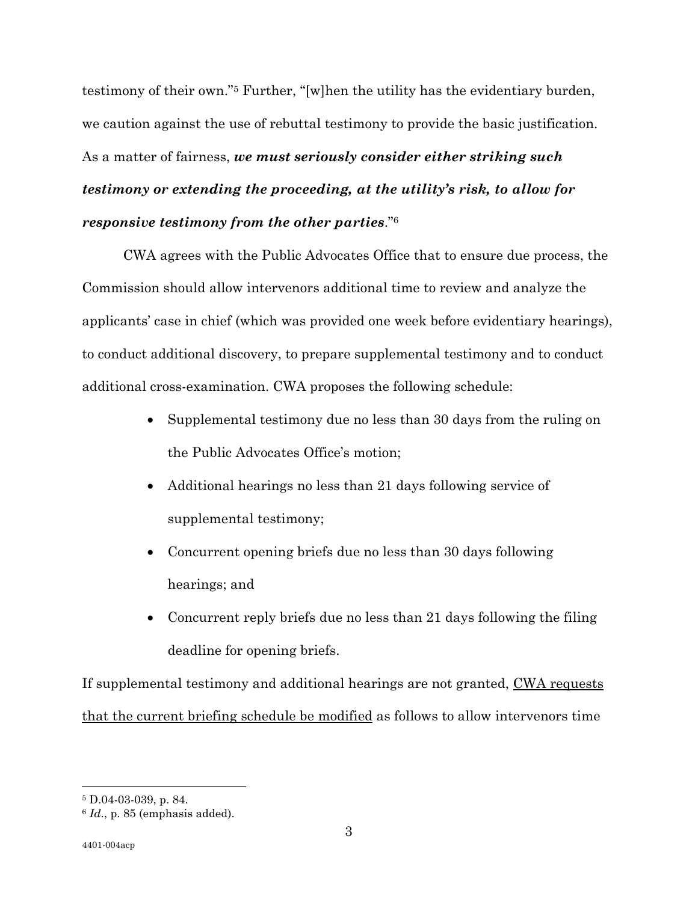testimony of their own."5 Further, "[w]hen the utility has the evidentiary burden, we caution against the use of rebuttal testimony to provide the basic justification. As a matter of fairness, *we must seriously consider either striking such testimony or extending the proceeding, at the utility's risk, to allow for responsive testimony from the other parties*."6

CWA agrees with the Public Advocates Office that to ensure due process, the Commission should allow intervenors additional time to review and analyze the applicants' case in chief (which was provided one week before evidentiary hearings), to conduct additional discovery, to prepare supplemental testimony and to conduct additional cross-examination. CWA proposes the following schedule:

- Supplemental testimony due no less than 30 days from the ruling on the Public Advocates Office's motion;
- Additional hearings no less than 21 days following service of supplemental testimony;
- Concurrent opening briefs due no less than 30 days following hearings; and
- Concurrent reply briefs due no less than 21 days following the filing deadline for opening briefs.

If supplemental testimony and additional hearings are not granted, CWA requests that the current briefing schedule be modified as follows to allow intervenors time

 $\overline{a}$ 

<sup>5</sup> D.04-03-039, p. 84.

<sup>6</sup> *Id*., p. 85 (emphasis added).